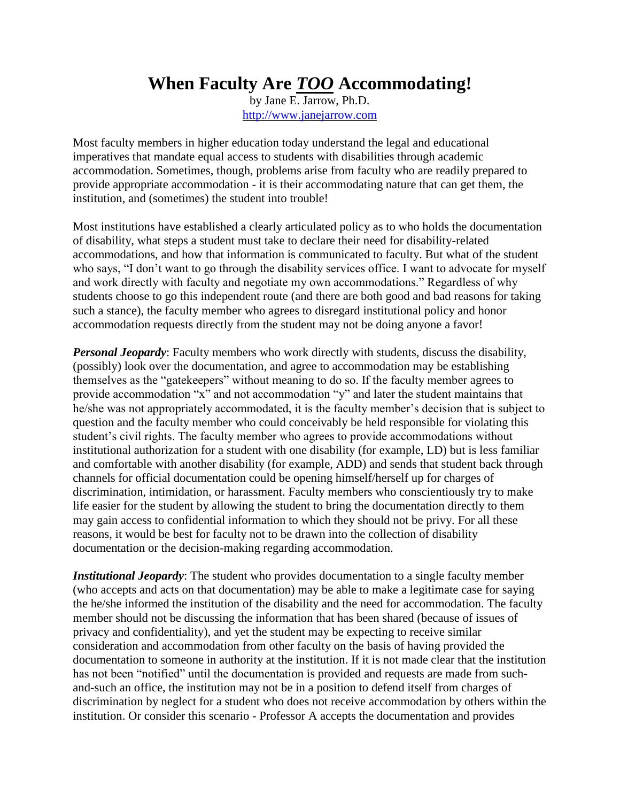## **When Faculty Are** *TOO* **Accommodating!**

by Jane E. Jarrow, Ph.D. [http://www.janejarrow.com](http://www.janejarrow.com/)

Most faculty members in higher education today understand the legal and educational imperatives that mandate equal access to students with disabilities through academic accommodation. Sometimes, though, problems arise from faculty who are readily prepared to provide appropriate accommodation - it is their accommodating nature that can get them, the institution, and (sometimes) the student into trouble!

Most institutions have established a clearly articulated policy as to who holds the documentation of disability, what steps a student must take to declare their need for disability-related accommodations, and how that information is communicated to faculty. But what of the student who says, "I don't want to go through the disability services office. I want to advocate for myself and work directly with faculty and negotiate my own accommodations." Regardless of why students choose to go this independent route (and there are both good and bad reasons for taking such a stance), the faculty member who agrees to disregard institutional policy and honor accommodation requests directly from the student may not be doing anyone a favor!

*Personal Jeopardy*: Faculty members who work directly with students, discuss the disability, (possibly) look over the documentation, and agree to accommodation may be establishing themselves as the "gatekeepers" without meaning to do so. If the faculty member agrees to provide accommodation "x" and not accommodation "y" and later the student maintains that he/she was not appropriately accommodated, it is the faculty member's decision that is subject to question and the faculty member who could conceivably be held responsible for violating this student's civil rights. The faculty member who agrees to provide accommodations without institutional authorization for a student with one disability (for example, LD) but is less familiar and comfortable with another disability (for example, ADD) and sends that student back through channels for official documentation could be opening himself/herself up for charges of discrimination, intimidation, or harassment. Faculty members who conscientiously try to make life easier for the student by allowing the student to bring the documentation directly to them may gain access to confidential information to which they should not be privy. For all these reasons, it would be best for faculty not to be drawn into the collection of disability documentation or the decision-making regarding accommodation.

*Institutional Jeopardy:* The student who provides documentation to a single faculty member (who accepts and acts on that documentation) may be able to make a legitimate case for saying the he/she informed the institution of the disability and the need for accommodation. The faculty member should not be discussing the information that has been shared (because of issues of privacy and confidentiality), and yet the student may be expecting to receive similar consideration and accommodation from other faculty on the basis of having provided the documentation to someone in authority at the institution. If it is not made clear that the institution has not been "notified" until the documentation is provided and requests are made from suchand-such an office, the institution may not be in a position to defend itself from charges of discrimination by neglect for a student who does not receive accommodation by others within the institution. Or consider this scenario - Professor A accepts the documentation and provides